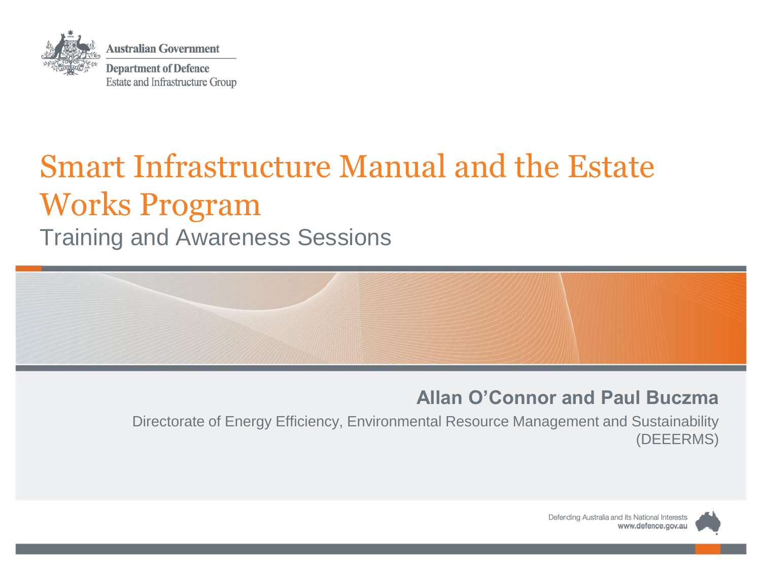

### Smart Infrastructure Manual and the Estate Works Program Training and Awareness Sessions



#### **Allan O'Connor and Paul Buczma**

Directorate of Energy Efficiency, Environmental Resource Management and Sustainability (DEEERMS)

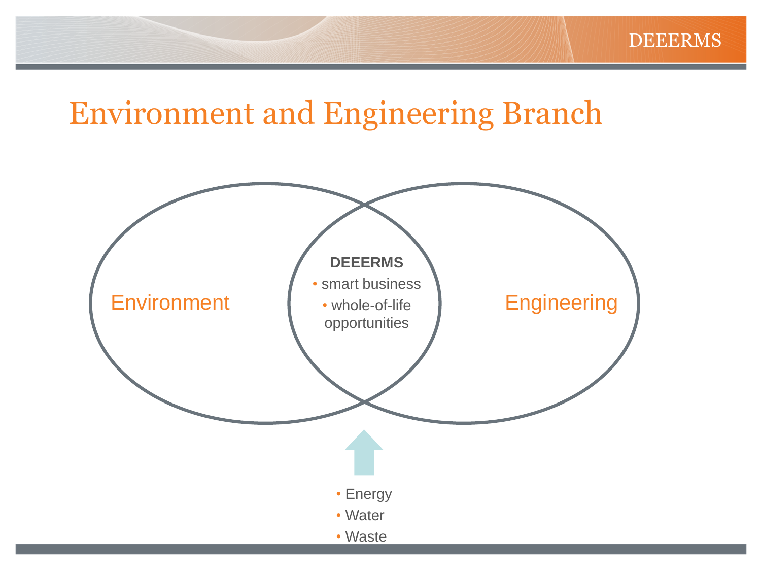#### Environment and Engineering Branch

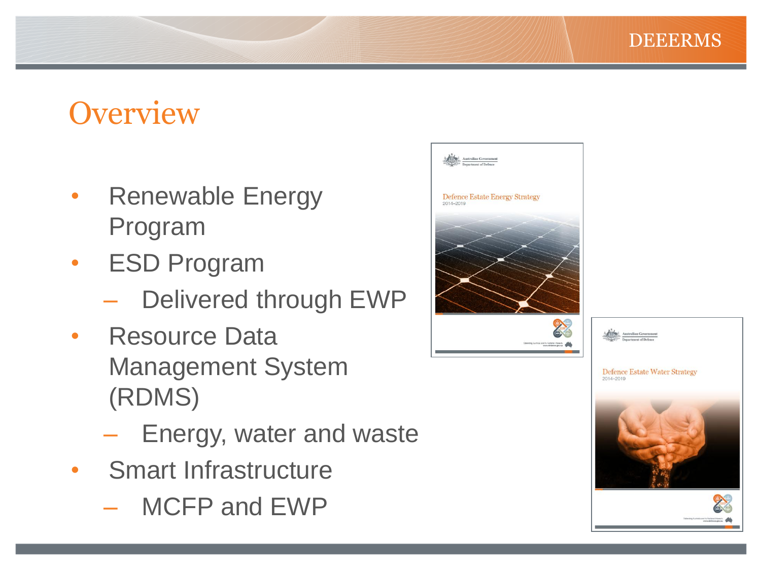### **Overview**

- Renewable Energy Program
- **ESD Program** 
	- Delivered through EWP
- Resource Data Management System (RDMS)
	- Energy, water and waste
- Smart Infrastructure
	- MCFP and EWP



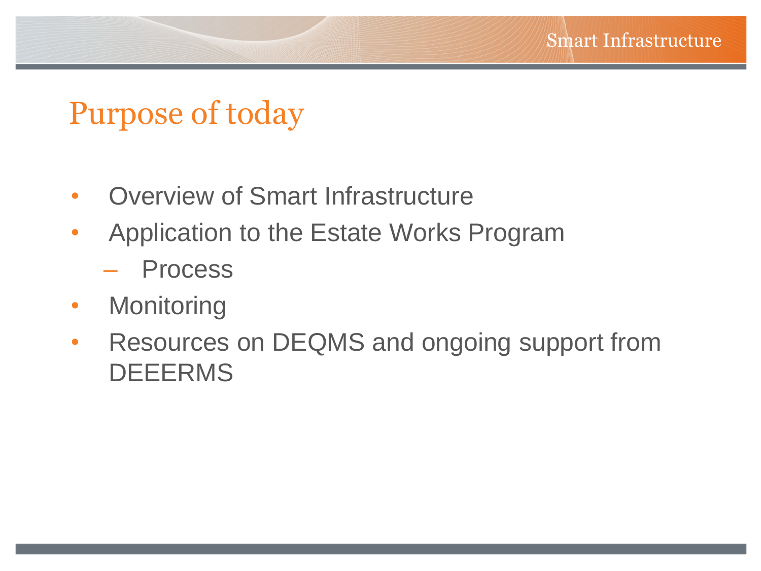#### Purpose of today

- Overview of Smart Infrastructure
- Application to the Estate Works Program
	- **Process**
- Monitoring
- Resources on DEQMS and ongoing support from DEEERMS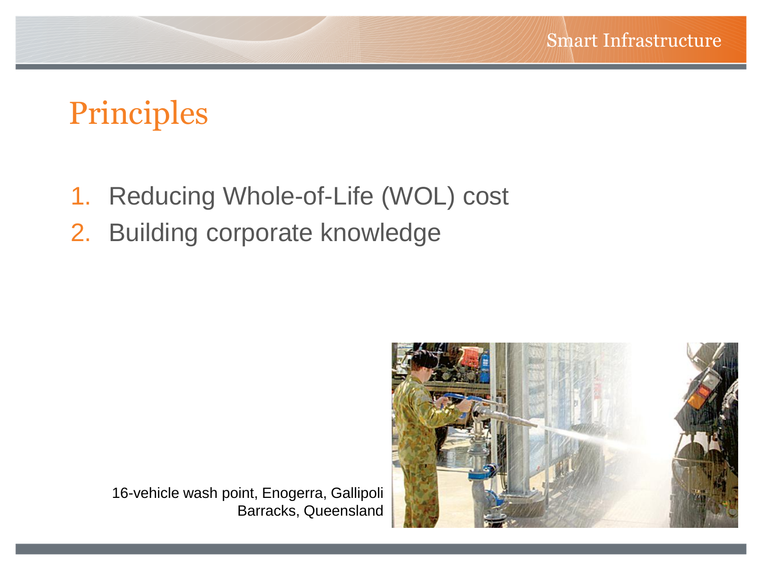### Principles

- 1. Reducing Whole-of-Life (WOL) cost
- 2. Building corporate knowledge



16-vehicle wash point, Enogerra, Gallipoli Barracks, Queensland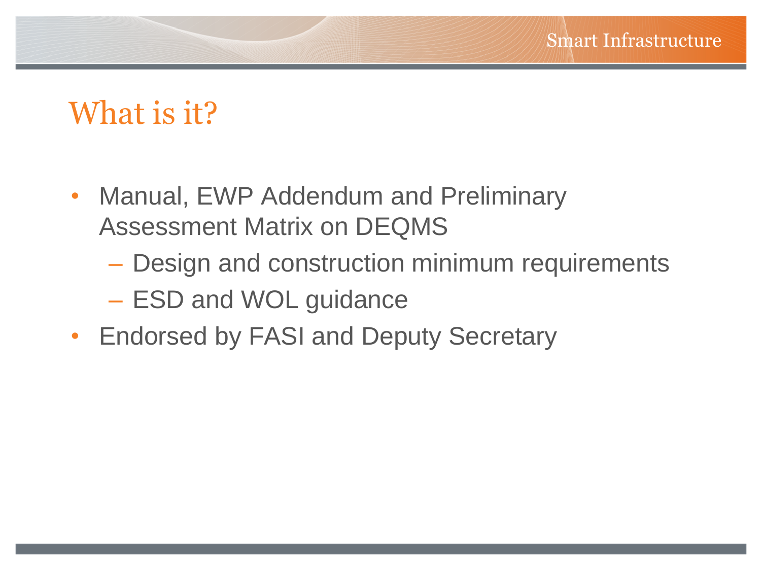#### What is it?

- Manual, EWP Addendum and Preliminary Assessment Matrix on DEQMS
	- Design and construction minimum requirements
	- ESD and WOL guidance
- Endorsed by FASI and Deputy Secretary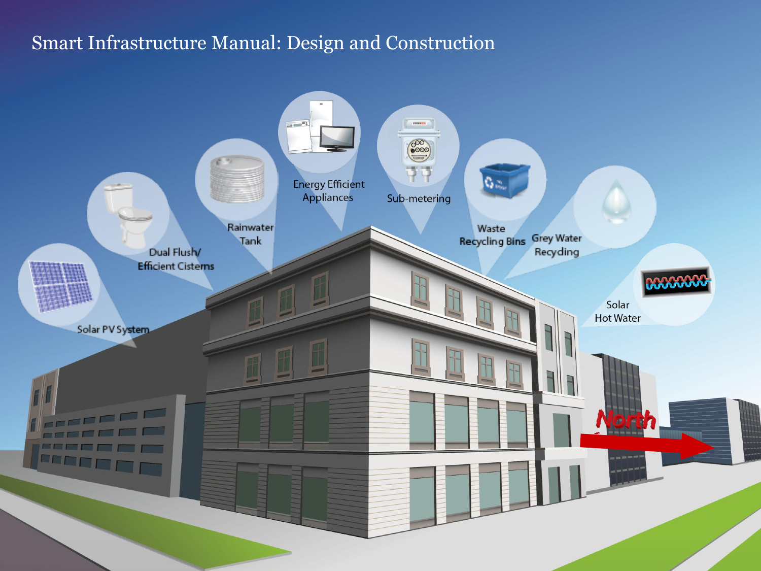#### Smart Infrastructure Manual: Design and Construction

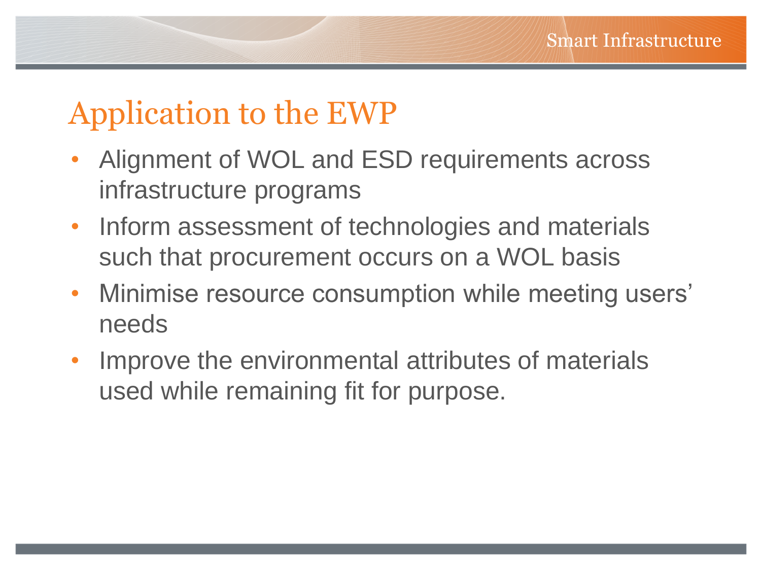## Application to the EWP

- Alignment of WOL and ESD requirements across infrastructure programs
- Inform assessment of technologies and materials such that procurement occurs on a WOL basis
- Minimise resource consumption while meeting users' needs
- Improve the environmental attributes of materials used while remaining fit for purpose.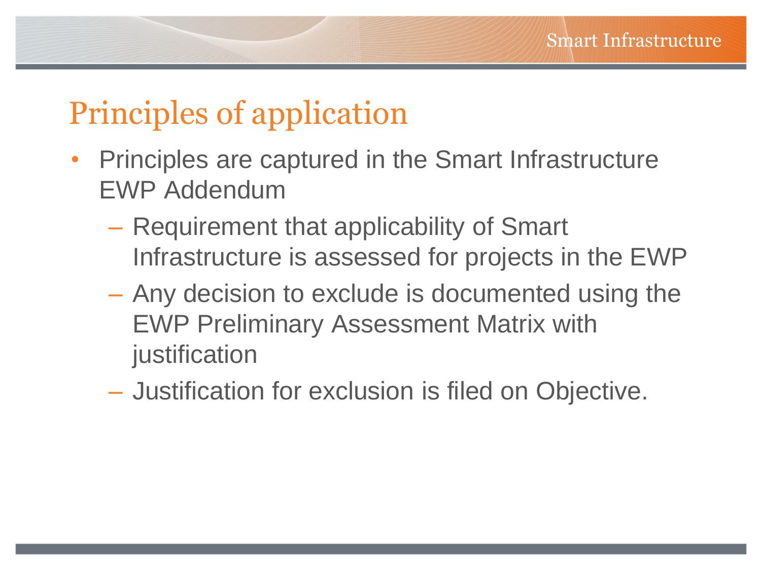### Principles of application

- Principles are captured in the Smart Infrastructure EWP Addendum
	- Requirement that applicability of Smart Infrastructure is assessed for projects in the EWP
	- Any decision to exclude is documented using the EWP Preliminary Assessment Matrix with justification
	- Justification for exclusion is filed on Objective.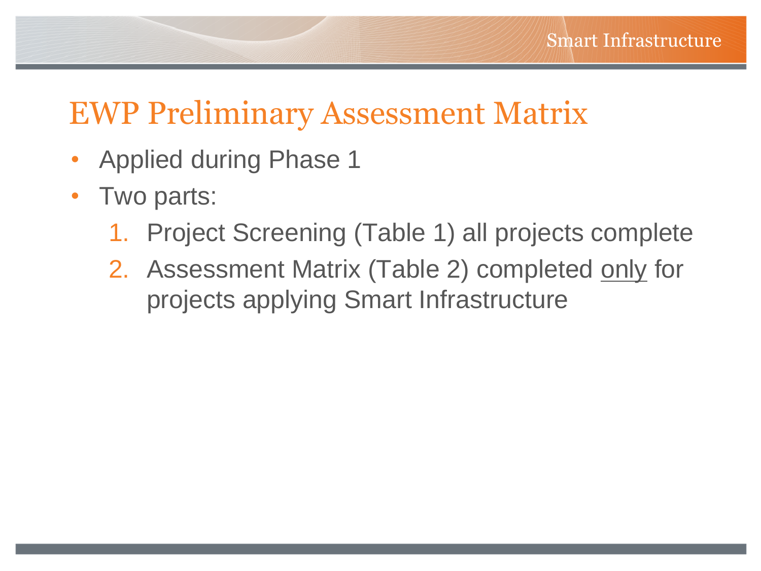### EWP Preliminary Assessment Matrix

- Applied during Phase 1
- Two parts:
	- 1. Project Screening (Table 1) all projects complete
	- 2. Assessment Matrix (Table 2) completed only for projects applying Smart Infrastructure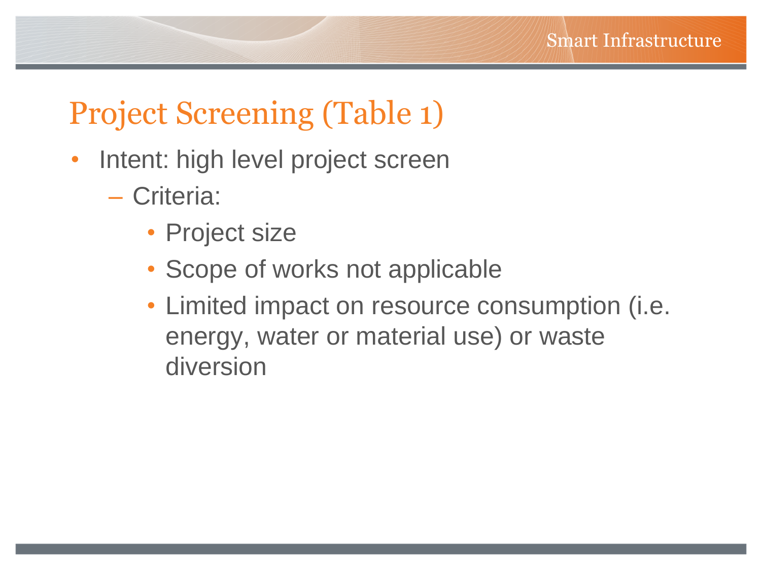### Project Screening (Table 1)

- Intent: high level project screen
	- Criteria:
		- Project size
		- Scope of works not applicable
		- Limited impact on resource consumption (i.e. energy, water or material use) or waste diversion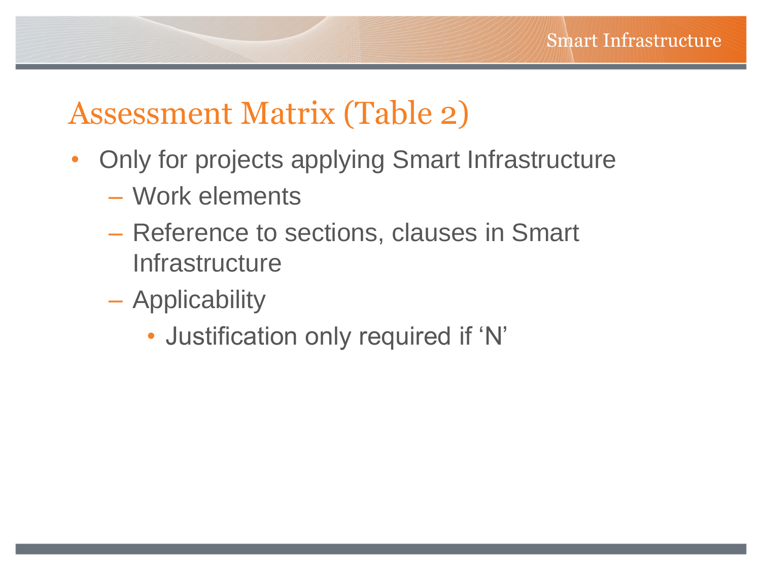### Assessment Matrix (Table 2)

- Only for projects applying Smart Infrastructure
	- Work elements
	- Reference to sections, clauses in Smart **Infrastructure**
	- Applicability
		- Justification only required if 'N'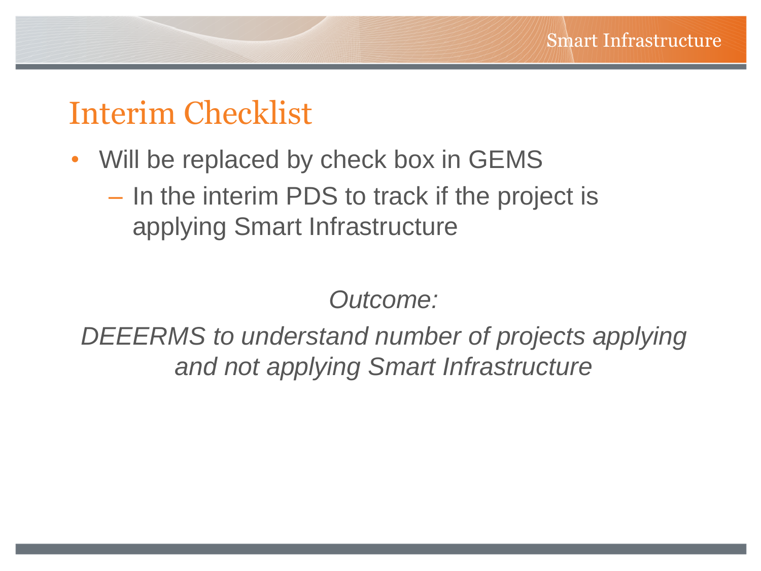#### Interim Checklist

- Will be replaced by check box in GEMS
	- In the interim PDS to track if the project is applying Smart Infrastructure

*Outcome:*

*DEEERMS to understand number of projects applying and not applying Smart Infrastructure*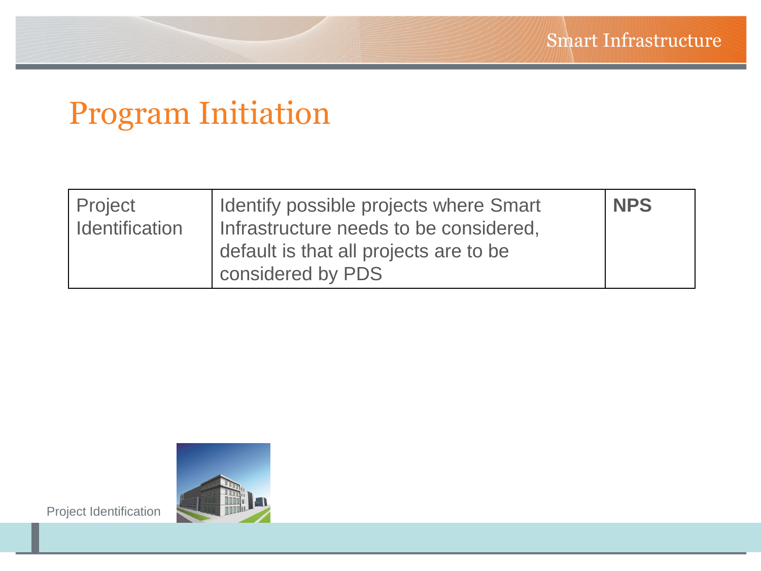# Program Initiation

| Project<br><b>Identification</b> | Identify possible projects where Smart<br>Infrastructure needs to be considered, | <b>NPS</b> |
|----------------------------------|----------------------------------------------------------------------------------|------------|
|                                  | default is that all projects are to be<br>considered by PDS                      |            |



Project Identification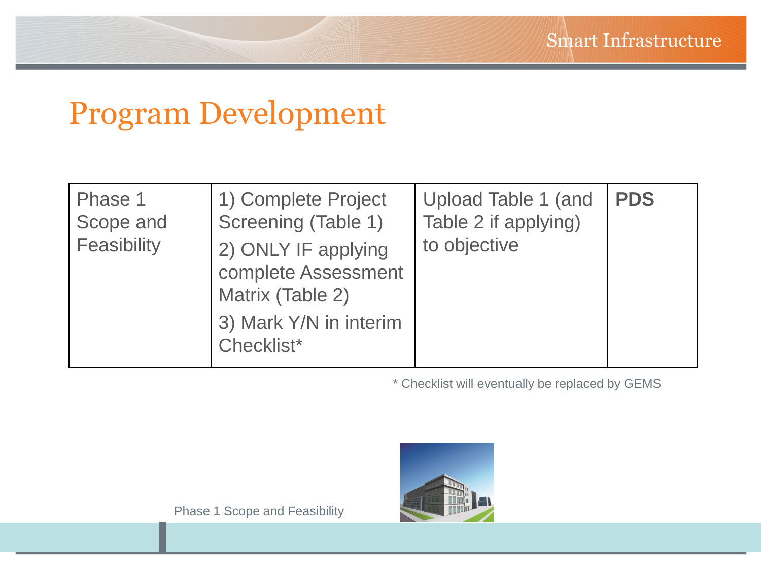### Program Development

| Phase 1<br>Scope and<br>Feasibility | 1) Complete Project<br>Screening (Table 1)<br>2) ONLY IF applying<br>complete Assessment<br>Matrix (Table 2)<br>3) Mark Y/N in interim<br>Checklist* | Upload Table 1 (and<br>Table 2 if applying)<br>to objective | <b>PDS</b> |
|-------------------------------------|------------------------------------------------------------------------------------------------------------------------------------------------------|-------------------------------------------------------------|------------|
|-------------------------------------|------------------------------------------------------------------------------------------------------------------------------------------------------|-------------------------------------------------------------|------------|

\* Checklist will eventually be replaced by GEMS

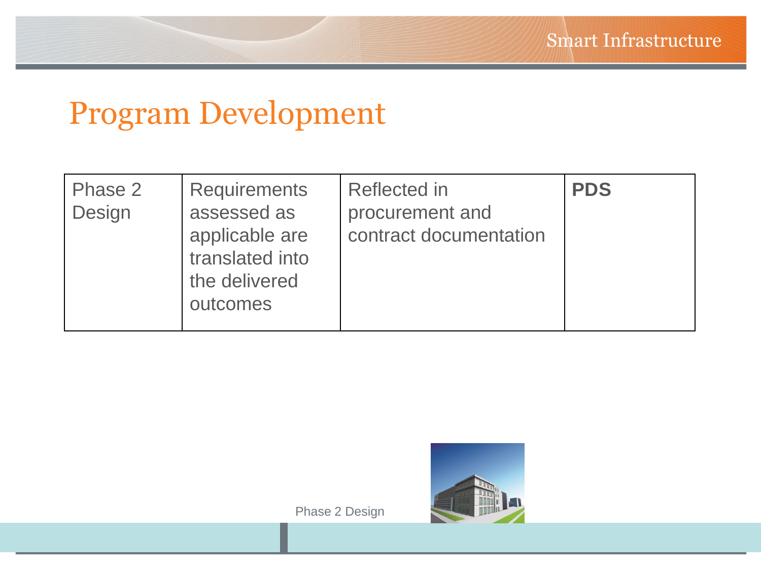### Program Development

| Phase 2<br>Design | <b>Requirements</b><br>assessed as<br>applicable are<br>translated into<br>the delivered<br>outcomes | Reflected in<br>procurement and<br>contract documentation | <b>PDS</b> |
|-------------------|------------------------------------------------------------------------------------------------------|-----------------------------------------------------------|------------|
|-------------------|------------------------------------------------------------------------------------------------------|-----------------------------------------------------------|------------|

Phase 2 Design

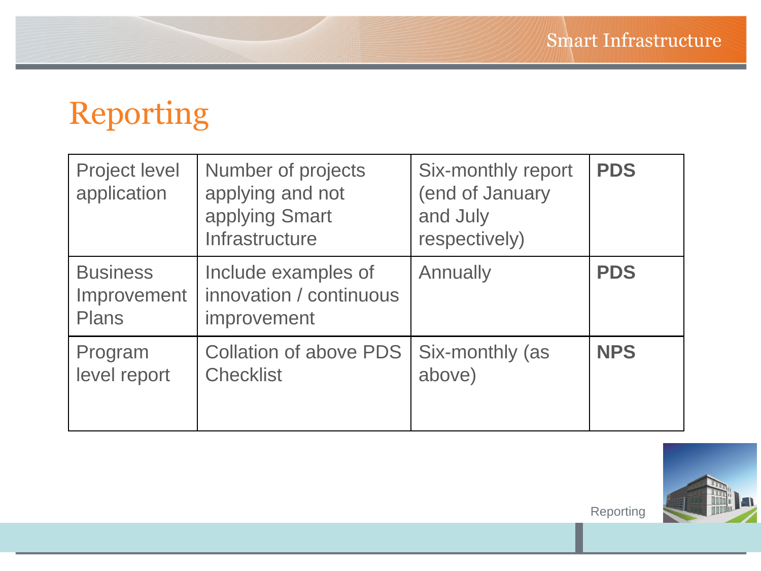# Reporting

| <b>Project level</b><br>application            | Number of projects<br>applying and not<br>applying Smart<br>Infrastructure | Six-monthly report<br>(end of January<br>and July<br>respectively) | <b>PDS</b> |
|------------------------------------------------|----------------------------------------------------------------------------|--------------------------------------------------------------------|------------|
| <b>Business</b><br>Improvement<br><b>Plans</b> | Include examples of<br>innovation / continuous<br>improvement              | Annually                                                           | <b>PDS</b> |
| Program<br>level report                        | <b>Collation of above PDS</b><br><b>Checklist</b>                          | Six-monthly (as<br>above)                                          | <b>NPS</b> |



Reporting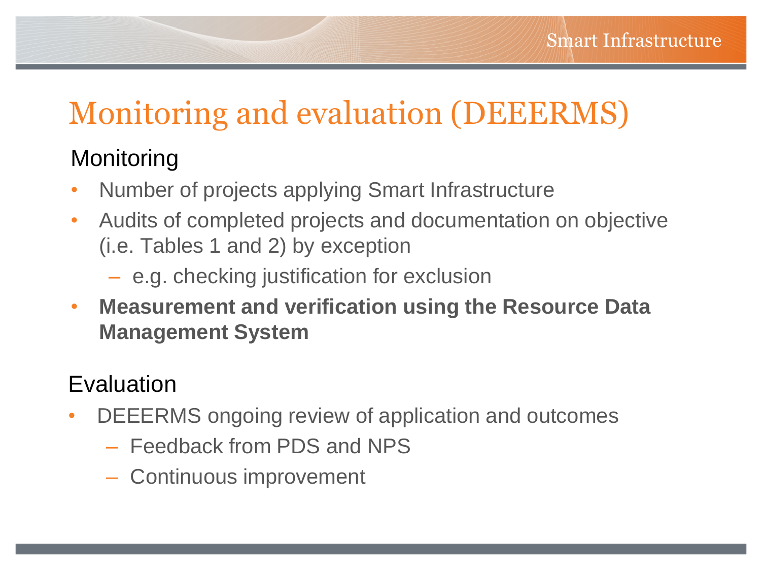# Monitoring and evaluation (DEEERMS)

#### **Monitoring**

- Number of projects applying Smart Infrastructure
- Audits of completed projects and documentation on objective (i.e. Tables 1 and 2) by exception
	- e.g. checking justification for exclusion
- **Measurement and verification using the Resource Data Management System**

#### Evaluation

- DEEERMS ongoing review of application and outcomes
	- Feedback from PDS and NPS
	- Continuous improvement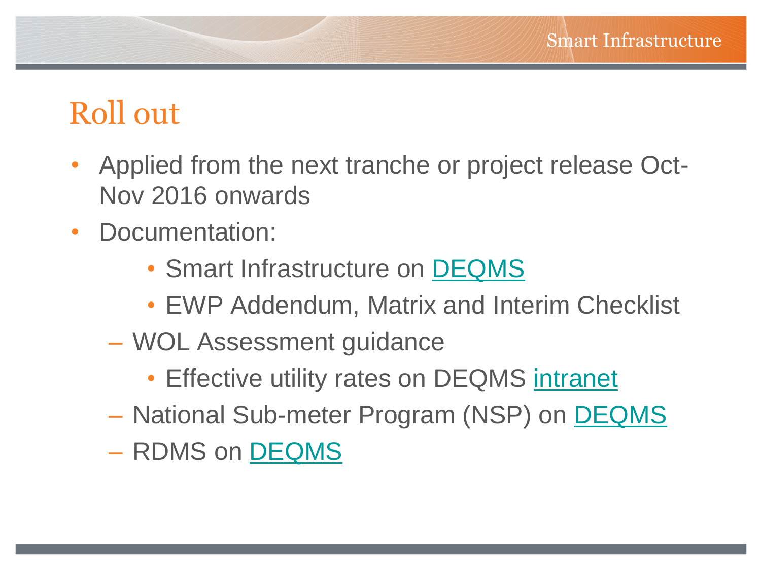#### Roll out

- Applied from the next tranche or project release Oct-Nov 2016 onwards
- Documentation:
	- Smart Infrastructure on [DEQMS](http://www.defence.gov.au/estatemanagement/governance/Policy/SmartInfrastructure/)
	- EWP Addendum, Matrix and Interim Checklist
	- WOL Assessment guidance
		- Effective utility rates on DEQMS [intranet](http://intranet.defence.gov.au/estatemanagement/governance/Policy/SmartInfrastructure/Docs/20150626 Utility Rates for business case and WOL Assessment v1 0.pdf)
	- National Sub-meter Program (NSP) on [DEQMS](http://www.defence.gov.au/estatemanagement/governance/Policy/Environment/EnergyEfficiency/NSP.asp)
	- RDMS on [DEQMS](http://www.defence.gov.au/estatemanagement/Support/RDMS/Default.asp)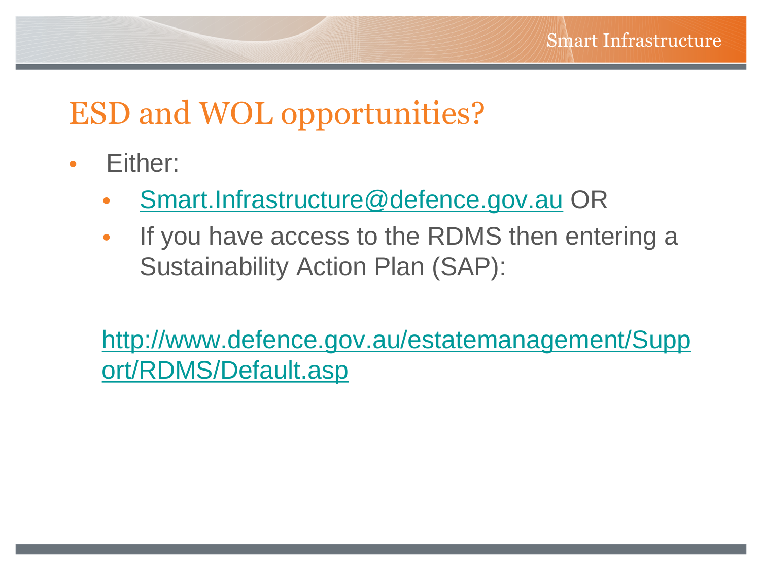### ESD and WOL opportunities?

- Either:
	- [Smart.Infrastructure@defence.gov.au](mailto:Smart.Infrastructure@defence.gov.au) OR
	- If you have access to the RDMS then entering a Sustainability Action Plan (SAP):

[http://www.defence.gov.au/estatemanagement/Supp](http://www.defence.gov.au/estatemanagement/Support/RDMS/Default.asp) [ort/RDMS/Default.asp](http://www.defence.gov.au/estatemanagement/Support/RDMS/Default.asp)